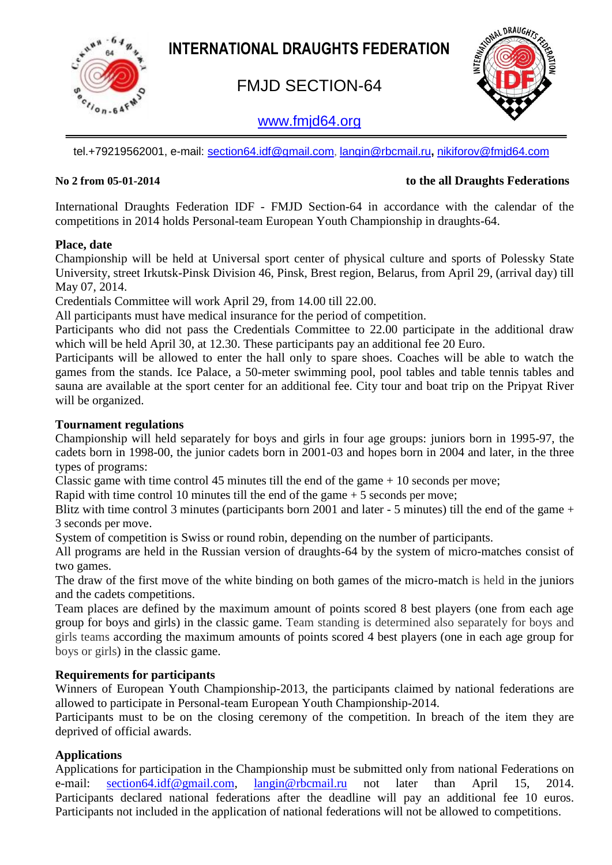**INTERNATIONAL DRAUGHTS FEDERATION**



# FMJD SECTION-64

## [www.fmjd64.org](http://www.fmjd64.org/)



tel.+79219562001, e-mail: [section64.idf@gmail.com](mailto:section64.idf@gmail.com), [langin@rbcmail.ru](mailto:langin@rbcmail.ru)**,** [nikiforov@fmjd64.com](mailto:nikiforov@fmjd64.com)

#### **No 2 from 05-01-2014 to the all Draughts Federations**

International Draughts Federation IDF - FMJD Section-64 in accordance with the calendar of the competitions in 2014 holds Personal-team European Youth Championship in draughts-64.

#### **Place, date**

Championship will be held at Universal sport center of physical culture and sports of Polessky State University, street Irkutsk-Pinsk Division 46, Pinsk, Brest region, Belarus, from April 29, (arrival day) till May 07, 2014.

Credentials Committee will work April 29, from 14.00 till 22.00.

All participants must have medical insurance for the period of competition.

Participants who did not pass the Credentials Committee to 22.00 participate in the additional draw which will be held April 30, at 12.30. These participants pay an additional fee 20 Euro.

Participants will be allowed to enter the hall only to spare shoes. Coaches will be able to watch the games from the stands. Ice Palace, a 50-meter swimming pool, pool tables and table tennis tables and sauna are available at the sport center for an additional fee. City tour and boat trip on the Pripyat River will be organized.

#### **Tournament regulations**

Championship will held separately for boys and girls in four age groups: juniors born in 1995-97, the cadets born in 1998-00, the junior cadets born in 2001-03 and hopes born in 2004 and later, in the three types of programs:

Classic game with time control 45 minutes till the end of the game  $+10$  seconds per move;

Rapid with time control 10 minutes till the end of the game + 5 seconds per move;

Blitz with time control 3 minutes (participants born 2001 and later - 5 minutes) till the end of the game + 3 seconds per move.

System of competition is Swiss or round robin, depending on the number of participants.

All programs are held in the Russian version of draughts-64 by the system of micro-matches consist of two games.

The draw of the first move of the white binding on both games of the micro-match is held in the juniors and the cadets competitions.

Team places are defined by the maximum amount of points scored 8 best players (one from each age group for boys and girls) in the classic game. Team standing is determined also separately for boys and girls teams according the maximum amounts of points scored 4 best players (one in each age group for boys or girls) in the classic game.

#### **Requirements for participants**

Winners of European Youth Championship-2013, the participants claimed by national federations are allowed to participate in Personal-team European Youth Championship-2014.

Participants must to be on the closing ceremony of the competition. In breach of the item they are deprived of official awards.

#### **Applications**

Applications for participation in the Championship must be submitted only from national Federations on e-mail: [section64.idf@gmail.com,](mailto:section64.idf@gmail.com) [langin@rbcmail.ru](mailto:langin@rbcmail.ru) not later than April 15, 2014. Participants declared national federations after the deadline will pay an additional fee 10 euros. Participants not included in the application of national federations will not be allowed to competitions.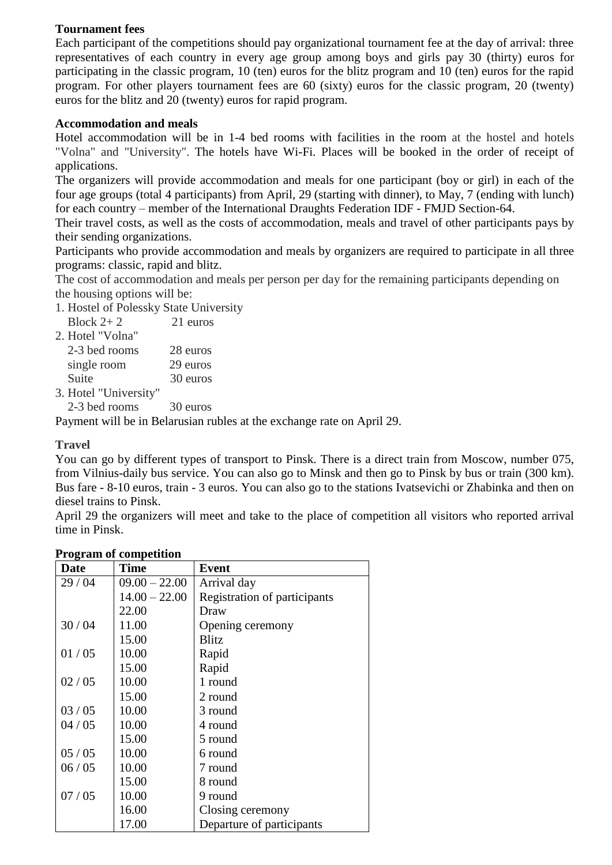#### **Tournament fees**

Each participant of the competitions should pay organizational tournament fee at the day of arrival: three representatives of each country in every age group among boys and girls pay 30 (thirty) euros for participating in the classic program, 10 (ten) euros for the blitz program and 10 (ten) euros for the rapid program. For other players tournament fees are 60 (sixty) euros for the classic program, 20 (twenty) euros for the blitz and 20 (twenty) euros for rapid program.

#### **Accommodation and meals**

Hotel accommodation will be in 1-4 bed rooms with facilities in the room at the hostel and hotels "Volna" and "University". The hotels have Wi-Fi. Places will be booked in the order of receipt of applications.

The organizers will provide accommodation and meals for one participant (boy or girl) in each of the four age groups (total 4 participants) from April, 29 (starting with dinner), to May, 7 (ending with lunch) for each country – member of the International Draughts Federation IDF - FMJD Section-64.

Their travel costs, as well as the costs of accommodation, meals and travel of other participants pays by their sending organizations.

Participants who provide accommodation and meals by organizers are required to participate in all three programs: classic, rapid and blitz.

The cost of accommodation and meals per person per day for the remaining participants depending on the housing options will be:

1. Hostel of Polessky State University

| Block $2+2$      | 21 euros |
|------------------|----------|
| 2. Hotel "Volna" |          |
| 2-3 bed rooms    | 28 euros |
| single room      | 29 euros |

Suite 30 euros

3. Hotel "University"

2-3 bed rooms 30 euros

Payment will be in Belarusian rubles at the exchange rate on April 29.

#### **Travel**

You can go by different types of transport to Pinsk. There is a direct train from Moscow, number 075, from Vilnius-daily bus service. You can also go to Minsk and then go to Pinsk by bus or train (300 km). Bus fare - 8-10 euros, train - 3 euros. You can also go to the stations Ivatsevichi or Zhabinka and then on diesel trains to Pinsk.

April 29 the organizers will meet and take to the place of competition all visitors who reported arrival time in Pinsk.

| <b>Date</b> | <b>Time</b>     | <b>Event</b>                 |
|-------------|-----------------|------------------------------|
| 29/04       | $09.00 - 22.00$ | Arrival day                  |
|             | $14.00 - 22.00$ | Registration of participants |
|             | 22.00           | Draw                         |
| 30/04       | 11.00           | Opening ceremony             |
|             | 15.00           | <b>Blitz</b>                 |
| 01/05       | 10.00           | Rapid                        |
|             | 15.00           | Rapid                        |
| 02 / 05     | 10.00           | 1 round                      |
|             | 15.00           | 2 round                      |
| 03/05       | 10.00           | 3 round                      |
| 04/05       | 10.00           | 4 round                      |
|             | 15.00           | 5 round                      |
| 05/05       | 10.00           | 6 round                      |
| 06/05       | 10.00           | 7 round                      |
|             | 15.00           | 8 round                      |
| 07/05       | 10.00           | 9 round                      |
|             | 16.00           | Closing ceremony             |
|             | 17.00           | Departure of participants    |

#### **Program of competition**